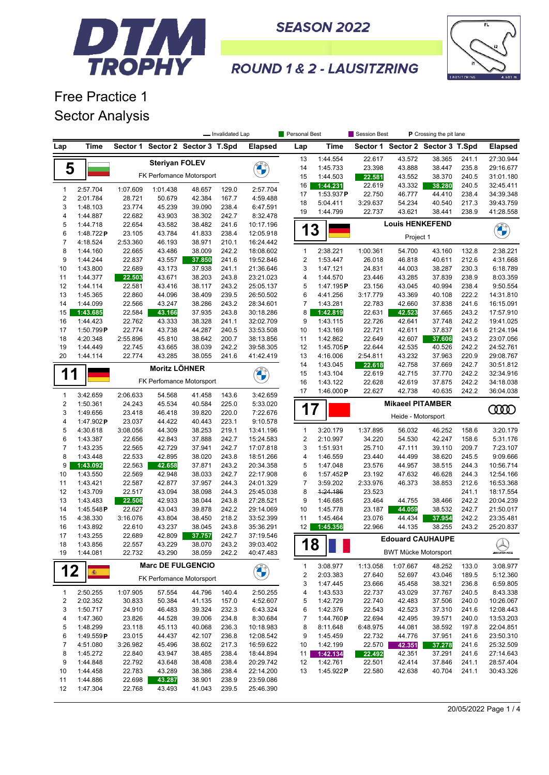



**ROUND 1 & 2 - LAUSITZRING** 

Free Practice 1 Sector Analysis

|                         |                       | - Invalidated Lap  |                       |                          |                | Personal Best          | Session Best<br>P Crossing the pit lane |                       |                    |                             |                                  |                |                               |
|-------------------------|-----------------------|--------------------|-----------------------|--------------------------|----------------|------------------------|-----------------------------------------|-----------------------|--------------------|-----------------------------|----------------------------------|----------------|-------------------------------|
| Lap                     | Time                  | Sector 1           |                       | Sector 2 Sector 3 T.Spd  |                | <b>Elapsed</b>         | Lap                                     | Time                  |                    |                             | Sector 1 Sector 2 Sector 3 T.Spd |                | <b>Elapsed</b>                |
|                         |                       |                    | <b>Steriyan FOLEV</b> |                          |                |                        | 13                                      | 1:44.554              | 22.617             | 43.572                      | 38.365                           | 241.1          | 27:30.944                     |
| 5                       |                       |                    |                       |                          |                | <b>CALCIO</b>          | 14                                      | 1:45.733              | 23.398             | 43.888                      | 38.447                           | 235.8          | 29:16.677                     |
|                         |                       |                    |                       | FK Perfomance Motorsport |                |                        | 15                                      | 1:44.503              | 22.581             | 43.552                      | 38.370                           | 240.5          | 31:01.180                     |
| $\mathbf{1}$            | 2:57.704              | 1:07.609           | 1:01.438              | 48.657                   | 129.0          | 2:57.704               | 16                                      | 1:44.231              | 22.619             | 43.332                      | 38.280                           | 240.5          | 32:45.411                     |
| $\boldsymbol{2}$        | 2:01.784              | 28.721             | 50.679                | 42.384                   | 167.7          | 4:59.488               | 17                                      | 1:53.937P             | 22.750             | 46.777                      | 44.410                           | 238.4          | 34:39.348                     |
| 3                       | 1:48.103              | 23.774             | 45.239                | 39.090                   | 238.4          | 6:47.591               | 18                                      | 5:04.411              | 3:29.637<br>22.737 | 54.234<br>43.621            | 40.540                           | 217.3          | 39:43.759                     |
| 4                       | 1:44.887              | 22.682             | 43.903                | 38.302                   | 242.7          | 8:32.478               | 19                                      | 1:44.799              |                    |                             | 38.441                           | 238.9          | 41:28.558                     |
| 5                       | 1:44.718              | 22.654             | 43.582                | 38.482                   | 241.6          | 10:17.196              | 13                                      |                       |                    | <b>Louis HENKEFEND</b>      |                                  |                | <b>CARGO</b>                  |
| 6                       | 1:48.722P             | 23.105             | 43.784                | 41.833                   | 238.4          | 12:05.918              |                                         |                       |                    | Project 1                   |                                  |                |                               |
| $\boldsymbol{7}$        | 4:18.524              | 2:53.360           | 46.193                | 38.971                   | 210.1          | 16:24.442              |                                         |                       |                    |                             |                                  |                |                               |
| 8                       | 1:44.160              | 22.665             | 43.486                | 38.009                   | 242.2          | 18:08.602              | $\mathbf{1}$                            | 2:38.221              | 1:00.361           | 54.700                      | 43.160                           | 132.8          | 2:38.221                      |
| 9                       | 1:44.244              | 22.837             | 43.557                | 37.850                   | 241.6          | 19:52.846              | $\overline{2}$                          | 1:53.447              | 26.018             | 46.818                      | 40.611                           | 212.6          | 4:31.668                      |
| 10                      | 1:43.800              | 22.689             | 43.173                | 37.938                   | 241.1          | 21:36.646              | 3                                       | 1:47.121              | 24.831             | 44.003                      | 38.287                           | 230.3          | 6:18.789                      |
| 11                      | 1:44.377              | 22.503             | 43.671                | 38.203                   | 243.8          | 23:21.023              | 4                                       | 1:44.570              | 23.446             | 43.285                      | 37.839                           | 238.9          | 8:03.359                      |
| 12<br>13                | 1:44.114<br>1:45.365  | 22.581<br>22.860   | 43.416<br>44.096      | 38.117<br>38.409         | 243.2<br>239.5 | 25:05.137<br>26:50.502 | 5<br>6                                  | 1:47.195P<br>4:41.256 | 23.156<br>3:17.779 | 43.045<br>43.369            | 40.994<br>40.108                 | 238.4<br>222.2 | 9:50.554<br>14:31.810         |
| 14                      | 1:44.099              | 22.566             | 43.247                | 38.286                   | 243.2          | 28:34.601              | 7                                       | 1:43.281              | 22.783             | 42.660                      | 37.838                           | 241.6          | 16:15.091                     |
| 15                      | 1:43.685              | 22.584             | 43.166                | 37.935                   | 243.8          | 30:18.286              | 8                                       | 1:42.819              | 22.631             | 42.523                      | 37.665                           | 243.2          | 17:57.910                     |
| 16                      | 1:44.423              | 22.762             | 43.333                | 38.328                   | 241.1          | 32:02.709              | 9                                       | 1:43.115              | 22.726             | 42.641                      | 37.748                           | 242.2          | 19:41.025                     |
| 17                      | 1:50.799P             | 22.774             | 43.738                | 44.287                   | 240.5          | 33:53.508              | 10                                      | 1:43.169              | 22.721             | 42.611                      | 37.837                           | 241.6          | 21:24.194                     |
| 18                      | 4:20.348              | 2:55.896           | 45.810                | 38.642                   | 200.7          | 38:13.856              | 11                                      | 1:42.862              | 22.649             | 42.607                      | 37.606                           | 243.2          | 23:07.056                     |
| 19                      | 1:44.449              | 22.745             | 43.665                | 38.039                   | 242.2          | 39:58.305              | 12                                      | 1:45.705P             | 22.644             | 42.535                      | 40.526                           | 242.2          | 24:52.761                     |
| 20                      | 1:44.114              | 22.774             | 43.285                | 38.055                   | 241.6          | 41:42.419              | 13                                      | 4:16.006              | 2:54.811           | 43.232                      | 37.963                           | 220.9          | 29:08.767                     |
|                         |                       |                    | <b>Moritz LÖHNER</b>  |                          |                |                        | 14                                      | 1:43.045              | 22.618             | 42.758                      | 37.669                           | 242.7          | 30:51.812                     |
| 1<br>1                  |                       |                    |                       |                          |                | <b>CALCIO</b>          | 15                                      | 1:43.104              | 22.619             | 42.715                      | 37.770                           | 242.2          | 32:34.916                     |
|                         |                       |                    |                       | FK Perfomance Motorsport |                |                        | 16                                      | 1:43.122              | 22.628             | 42.619                      | 37.875                           | 242.2          | 34:18.038                     |
| $\mathbf{1}$            | 3:42.659              | 2:06.633           | 54.568                | 41.458                   | 143.6          | 3:42.659               | 17                                      | 1:46.000P             | 22.627             | 42.738                      | 40.635                           | 242.2          | 36:04.038                     |
| $\sqrt{2}$              | 1:50.361              | 24.243             | 45.534                | 40.584                   | 225.0          | 5:33.020               |                                         |                       |                    | <b>Mikaeel PITAMBER</b>     |                                  |                |                               |
| 3                       | 1:49.656              | 23.418             | 46.418                | 39.820                   | 220.0          | 7:22.676               | 17                                      |                       |                    |                             |                                  |                | 0000                          |
| 4                       | 1:47.902 $P$          | 23.037             | 44.422                | 40.443                   | 223.1          | 9:10.578               |                                         |                       |                    | Heide - Motorsport          |                                  |                |                               |
| 5                       | 4:30.618              | 3:08.056           | 44.309                | 38.253                   | 219.1          | 13:41.196              | $\mathbf{1}$                            | 3:20.179              | 1:37.895           | 56.032                      | 46.252                           | 158.6          | 3:20.179                      |
| 6                       | 1:43.387              | 22.656             | 42.843                | 37.888                   | 242.7          | 15:24.583              | 2                                       | 2:10.997              | 34.220             | 54.530                      | 42.247                           | 158.6          | 5:31.176                      |
| 7                       | 1:43.235              | 22.565             | 42.729                | 37.941                   | 242.7          | 17:07.818              | 3                                       | 1:51.931              | 25.710             | 47.111                      | 39.110                           | 209.7          | 7:23.107                      |
| 8                       | 1:43.448              | 22.533             | 42.895                | 38.020                   | 243.8          | 18:51.266              | 4                                       | 1:46.559              | 23.440             | 44.499                      | 38.620                           | 245.5          | 9:09.666                      |
| 9                       | 1:43.092              | 22.563             | 42.658                | 37.871                   | 243.2          | 20:34.358              | 5                                       | 1:47.048              | 23.576             | 44.957                      | 38.515                           | 244.3          | 10:56.714                     |
| 10                      | 1:43.550              | 22.569             | 42.948                | 38.033                   | 242.7          | 22:17.908              | 6                                       | 1:57.452 $P$          | 23.192             | 47.632                      | 46.628                           | 244.3          | 12:54.166                     |
| 11                      | 1:43.421              | 22.587             | 42.877                | 37.957                   | 244.3          | 24:01.329              | $\overline{7}$                          | 3:59.202              | 2:33.976           | 46.373                      | 38.853                           | 212.6          | 16:53.368                     |
| 12                      | 1:43.709              | 22.517             | 43.094                | 38.098                   | 244.3          | 25:45.038              | 8                                       | 1:24.186              | 23.523             |                             |                                  | 241.1          | 18:17.554                     |
| 13                      | 1:43.483              | 22.506             | 42.933                | 38.044                   | 243.8          | 27:28.521              | 9                                       | 1:46.685              | 23.464             | 44.755                      | 38.466                           | 242.2          | 20:04.239                     |
| 14                      | 1:45.548P             | 22.627             | 43.043                | 39.878                   | 242.2          | 29:14.069              | 10                                      | 1:45.778              | 23.187             | 44.059                      | 38.532                           | 242.7          | 21:50.017                     |
| 15                      | 4:38.330              | 3:16.076           | 43.804                | 38.450                   | 218.2          | 33:52.399              | 11                                      | 1:45.464              | 23.076             | 44.434                      | 37.954                           | 242.2          | 23:35.481                     |
| 16                      | 1:43.892              | 22.610             | 43.237                | 38.045                   | 243.8          | 35:36.291              | 12                                      | 1:45.356              | 22.966             | 44.135                      | 38.255                           | 243.2          | 25:20.837                     |
| 17                      | 1:43.255              | 22.689             | 42.809                | 37.757                   | 242.7          | 37:19.546              |                                         |                       |                    |                             | <b>Edouard CAUHAUPE</b>          |                |                               |
| 18                      | 1:43.856              | 22.557             | 43.229                | 38.070                   | 243.2          | 39:03.402              |                                         | $18$                  |                    |                             |                                  |                | $\bigotimes_{\mathsf{mldhs}}$ |
| 19                      | 1:44.081              | 22.732             | 43.290                | 38.059                   | 242.2          | 40:47.483              |                                         |                       |                    | <b>BWT Mücke Motorsport</b> |                                  |                |                               |
| 12                      | 斋                     |                    |                       | <b>Marc DE FULGENCIO</b> |                | <b>CALCIO</b>          | $\mathbf{1}$                            | 3:08.977              | 1:13.058           | 1:07.667                    | 48.252                           | 133.0          | 3:08.977                      |
|                         |                       |                    |                       | FK Perfomance Motorsport |                |                        | 2                                       | 2:03.383              | 27.640             | 52.697                      | 43.046                           | 189.5          | 5:12.360                      |
|                         |                       |                    |                       |                          |                |                        | 3                                       | 1:47.445              | 23.666             | 45.458                      | 38.321                           | 236.8          | 6:59.805                      |
| $\mathbf{1}$            | 2:50.255              | 1:07.905           | 57.554                | 44.796                   | 140.4          | 2:50.255               | 4                                       | 1:43.533              | 22.737             | 43.029                      | 37.767                           | 240.5          | 8:43.338                      |
| $\overline{\mathbf{c}}$ | 2:02.352              | 30.833             | 50.384                | 41.135                   | 157.0          | 4:52.607               | 5                                       | 1:42.729              | 22.740             | 42.483                      | 37.506                           | 240.0          | 10:26.067                     |
| 3                       | 1:50.717              | 24.910             | 46.483                | 39.324                   | 232.3          | 6:43.324               | 6                                       | 1:42.376              | 22.543             | 42.523                      | 37.310                           | 241.6          | 12:08.443                     |
| 4                       | 1:47.360              | 23.826             | 44.528                | 39.006                   | 234.8          | 8:30.684               | 7                                       | 1:44.760P             | 22.694             | 42.495                      | 39.571                           | 240.0          | 13:53.203                     |
| 5                       | 1:48.299              | 23.118             | 45.113                | 40.068                   | 236.3          | 10:18.983              | 8                                       | 8:11.648              | 6:48.975           | 44.081                      | 38.592                           | 197.8          | 22:04.851<br>23:50.310        |
| 6<br>7                  | 1:49.559P<br>4:51.080 | 23.015             | 44.437<br>45.496      | 42.107<br>38.602         | 236.8          | 12:08.542<br>16:59.622 | 9                                       | 1:45.459              | 22.732             | 44.776                      | 37.951                           | 241.6<br>241.6 |                               |
| 8                       | 1:45.272              | 3:26.982<br>22.840 | 43.947                | 38.485                   | 217.3<br>238.4 | 18:44.894              | 10                                      | 1:42.199<br>1:42.134  | 22.570<br>22.492   | 42.351<br>42.351            | 37.278<br>37.291                 | 241.6          | 25:32.509<br>27:14.643        |
| 9                       | 1:44.848              | 22.792             | 43.648                | 38.408                   | 238.4          | 20:29.742              | 11<br>12                                | 1:42.761              | 22.501             | 42.414                      | 37.846                           | 241.1          | 28:57.404                     |
| 10                      | 1:44.458              | 22.783             | 43.289                | 38.386                   | 238.4          | 22:14.200              | 13                                      | 1:45.922 $P$          | 22.580             | 42.638                      | 40.704                           | 241.1          | 30:43.326                     |
| 11                      | 1:44.886              | 22.698             | 43.287                | 38.901                   | 238.9          | 23:59.086              |                                         |                       |                    |                             |                                  |                |                               |
| 12                      | 1:47.304              | 22.768             | 43.493                | 41.043                   | 239.5          | 25:46.390              |                                         |                       |                    |                             |                                  |                |                               |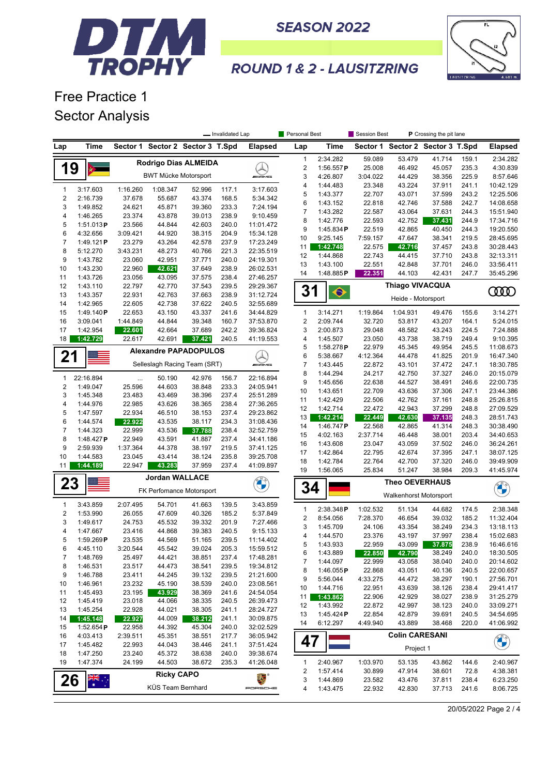



## **ROUND 1 & 2 - LAUSITZRING**

Free Practice 1 Sector Analysis

|                         |                      | - Invalidated Lap  |                             |                                  | Personal Best  |                        | Session Best<br>P Crossing the pit lane |                       |                       |                                  |                  |                |                        |
|-------------------------|----------------------|--------------------|-----------------------------|----------------------------------|----------------|------------------------|-----------------------------------------|-----------------------|-----------------------|----------------------------------|------------------|----------------|------------------------|
| Lap                     | Time                 |                    |                             | Sector 1 Sector 2 Sector 3 T.Spd |                | <b>Elapsed</b>         | Lap                                     | <b>Time</b>           |                       | Sector 1 Sector 2 Sector 3 T.Spd |                  |                | <b>Elapsed</b>         |
|                         |                      |                    |                             | Rodrigo Dias ALMEIDA             |                |                        | $\mathbf{1}$                            | 2:34.282              | 59.089                | 53.479                           | 41.714           | 159.1          | 2:34.282               |
| 19                      |                      |                    |                             |                                  |                |                        | $\sqrt{2}$                              | 1:56.557 $P$          | 25.008                | 46.492                           | 45.057           | 235.3          | 4:30.839               |
|                         |                      |                    | <b>BWT Mücke Motorsport</b> |                                  |                | <b><i>INNE</i></b>     | 3                                       | 4:26.807              | 3:04.022              | 44.429                           | 38.356           | 225.9          | 8:57.646               |
| $\mathbf{1}$            | 3:17.603             | 1:16.260           | 1:08.347                    | 52.996                           | 117.1          | 3:17.603               | $\pmb{4}$                               | 1:44.483              | 23.348                | 43.224                           | 37.911           | 241.1          | 10:42.129              |
| $\boldsymbol{2}$        | 2:16.739             | 37.678             | 55.687                      | 43.374                           | 168.5          | 5:34.342               | 5                                       | 1:43.377              | 22.707                | 43.071                           | 37.599           | 243.2          | 12:25.506              |
| 3                       | 1:49.852             | 24.621             | 45.871                      | 39.360                           | 233.3          | 7:24.194               | 6                                       | 1:43.152              | 22.818                | 42.746                           | 37.588           | 242.7          | 14:08.658              |
| 4                       | 1:46.265             | 23.374             | 43.878                      | 39.013                           | 238.9          | 9:10.459               | $\overline{7}$                          | 1:43.282              | 22.587                | 43.064                           | 37.631           | 244.3          | 15:51.940              |
| 5                       | 1:51.013P            | 23.566             | 44.844                      | 42.603                           | 240.0          | 11:01.472              | 8<br>9                                  | 1:42.776<br>1:45.834P | 22.593<br>22.519      | 42.752                           | 37.431           | 244.9<br>244.3 | 17:34.716              |
| 6                       | 4:32.656             | 3:09.421           | 44.920                      | 38.315                           | 204.9          | 15:34.128              | 10                                      | 9:25.145              | 7:59.157              | 42.865<br>47.647                 | 40.450<br>38.341 | 219.5          | 19:20.550<br>28:45.695 |
| $\overline{7}$          | 1:49.121 $P$         | 23.279             | 43.264                      | 42.578                           | 237.9          | 17:23.249              | 11                                      | 1:42.748              | 22.575                | 42.716                           | 37.457           | 243.8          | 30:28.443              |
| 8                       | 5:12.270             | 3:43.231           | 48.273                      | 40.766                           | 221.3          | 22:35.519              | 12                                      | 1:44.868              | 22.743                | 44.415                           | 37.710           | 243.8          | 32:13.311              |
| 9                       | 1:43.782             | 23.060             | 42.951                      | 37.771                           | 240.0          | 24:19.301              | 13                                      | 1:43.100              | 22.551                | 42.848                           | 37.701           | 246.0          | 33:56.411              |
| 10                      | 1:43.230             | 22.960             | 42.621                      | 37.649                           | 238.9          | 26:02.531              | 14                                      | 1:48.885P             | 22.351                | 44.103                           | 42.431           | 247.7          | 35:45.296              |
| 11                      | 1:43.726             | 23.056             | 43.095                      | 37.575                           | 238.4          | 27:46.257              |                                         |                       |                       |                                  |                  |                |                        |
| 12                      | 1:43.110             | 22.797             | 42.770                      | 37.543                           | 239.5          | 29:29.367              | 31                                      | $\bullet$             |                       | Thiago VIVACQUA                  |                  |                | 0000                   |
| 13<br>14                | 1:43.357<br>1:42.965 | 22.931             | 42.763<br>42.738            | 37.663<br>37.622                 | 238.9          | 31:12.724              |                                         |                       |                       | Heide - Motorsport               |                  |                |                        |
| 15                      | 1:49.140P            | 22.605<br>22.653   | 43.150                      | 43.337                           | 240.5<br>241.6 | 32:55.689<br>34:44.829 | $\mathbf{1}$                            | 3:14.271              | 1:19.864              | 1:04.931                         | 49.476           | 155.6          | 3:14.271               |
| 16                      | 3:09.041             | 1:44.849           | 44.844                      | 39.348                           | 160.7          | 37:53.870              | $\sqrt{2}$                              | 2:09.744              | 32.720                | 53.817                           | 43.207           | 164.1          | 5:24.015               |
| 17                      | 1:42.954             | 22.601             | 42.664                      | 37.689                           | 242.2          | 39:36.824              | 3                                       | 2:00.873              | 29.048                | 48.582                           | 43.243           | 224.5          | 7:24.888               |
| 18                      | 1:42.729             | 22.617             | 42.691                      | 37.421                           | 240.5          | 41:19.553              | 4                                       | 1:45.507              | 23.050                | 43.738                           | 38.719           | 249.4          | 9:10.395               |
|                         |                      |                    |                             |                                  |                |                        | 5                                       | 1:58.278P             | 22.979                | 45.345                           | 49.954           | 245.5          | 11:08.673              |
| 21                      |                      |                    |                             | <b>Alexandre PAPADOPULOS</b>     |                |                        | 6                                       | 5:38.667              | 4:12.364              | 44.478                           | 41.825           | 201.9          | 16:47.340              |
|                         |                      |                    |                             | Selleslagh Racing Team (SRT)     |                | <b><i>INNE</i></b>     | $\overline{7}$                          | 1:43.445              | 22.872                | 43.101                           | 37.472           | 247.1          | 18:30.785              |
| $\mathbf{1}$            | 22:16.894            |                    | 50.190                      | 42.976                           | 156.7          | 22:16.894              | 8                                       | 1:44.294              | 24.217                | 42.750                           | 37.327           | 246.0          | 20:15.079              |
| $\overline{\mathbf{c}}$ | 1:49.047             | $\cdots$<br>25.596 | 44.603                      | 38.848                           | 233.3          | 24:05.941              | 9                                       | 1:45.656              | 22.638                | 44.527                           | 38.491           | 246.6          | 22:00.735              |
| 3                       | 1:45.348             | 23.483             | 43.469                      | 38.396                           | 237.4          | 25:51.289              | 10                                      | 1:43.651              | 22.709                | 43.636                           | 37.306           | 247.1          | 23:44.386              |
| 4                       | 1:44.976             | 22.985             | 43.626                      | 38.365                           | 238.4          | 27:36.265              | 11                                      | 1:42.429              | 22.506                | 42.762                           | 37.161           | 248.8          | 25:26.815              |
| 5                       | 1:47.597             | 22.934             | 46.510                      | 38.153                           | 237.4          | 29:23.862              | 12                                      | 1:42.714              | 22.472                | 42.943                           | 37.299           | 248.8          | 27:09.529              |
| 6                       | 1:44.574             | 22.922             | 43.535                      | 38.117                           | 234.3          | 31:08.436              | 13                                      | 1:42.214              | 22.449                | 42.630                           | 37.135           | 248.3          | 28:51.743              |
| 7                       | 1:44.323             | 22.999             | 43.536                      | 37.788                           | 238.4          | 32:52.759              | 14                                      | 1:46.747P             | 22.568                | 42.865                           | 41.314           | 248.3          | 30:38.490              |
| 8                       | 1:48.427P            | 22.949             | 43.591                      | 41.887                           | 237.4          | 34:41.186              | 15                                      | 4:02.163              | 2:37.714              | 46.448                           | 38.001           | 203.4          | 34:40.653              |
| 9                       | 2:59.939             | 1:37.364           | 44.378                      | 38.197                           | 219.5          | 37:41.125              | 16<br>17                                | 1:43.608<br>1:42.864  | 23.047<br>22.795      | 43.059<br>42.674                 | 37.502<br>37.395 | 246.0<br>247.1 | 36:24.261<br>38:07.125 |
| 10                      | 1:44.583             | 23.045             | 43.414                      | 38.124                           | 235.8          | 39:25.708              | 18                                      | 1:42.784              | 22.764                | 42.700                           | 37.320           | 246.0          | 39:49.909              |
| 11                      | 1:44.189             | 22.947             | 43.283                      | 37.959                           | 237.4          | 41:09.897              | 19                                      | 1:56.065              | 25.834                | 51.247                           | 38.984           | 209.3          | 41:45.974              |
| 23                      |                      |                    | <b>Jordan WALLACE</b>       |                                  |                | <b>CALLES</b>          |                                         |                       | <b>Theo OEVERHAUS</b> |                                  |                  |                |                        |
|                         |                      |                    |                             | FK Perfomance Motorsport         |                |                        | 34                                      |                       |                       | Walkenhorst Motorsport           |                  |                | <b>CONTRACTOR</b>      |
| $\mathbf{1}$            | 3:43.859             | 2:07.495           | 54.701                      | 41.663                           | 139.5          | 3:43.859               |                                         |                       |                       |                                  |                  |                |                        |
| $\overline{\mathbf{c}}$ | 1:53.990             | 26.055             | 47.609                      | 40.326                           | 185.2          | 5:37.849               | $\mathbf{1}$                            | 2:38.348P             | 1:02.532              | 51.134                           | 44.682           | 174.5          | 2:38.348               |
| 3                       | 1:49.617             | 24.753             | 45.532                      | 39.332                           | 201.9          | 7:27.466               | $\sqrt{2}$                              | 8:54.056              | 7:28.370              | 46.654                           | 39.032           | 185.2          | 11:32.404              |
| 4                       | 1:47.667             | 23.416             | 44.868                      | 39.383                           | 240.5          | 9:15.133               | 3<br>4                                  | 1:45.709<br>1:44.570  | 24.106<br>23.376      | 43.354<br>43.197                 | 38.249<br>37.997 | 234.3<br>238.4 | 13:18.113<br>15:02.683 |
| 5                       | 1:59.269P            | 23.535             | 44.569                      | 51.165                           | 239.5          | 11:14.402              | 5                                       | 1:43.933              | 22.959                | 43.099                           | 37.875           | 238.9          | 16:46.616              |
| 6                       | 4:45.110             | 3:20.544           | 45.542                      | 39.024                           | 205.3          | 15:59.512              | 6                                       | 1:43.889              | 22.850                | 42.790                           | 38.249           | 240.0          | 18:30.505              |
| 7                       | 1:48.769             | 25.497             | 44.421                      | 38.851                           | 237.4          | 17:48.281              | 7                                       | 1:44.097              | 22.999                | 43.058                           | 38.040           | 240.0          | 20:14.602              |
| 8                       | 1:46.531             | 23.517             | 44.473                      | 38.541                           | 239.5          | 19:34.812              | 8                                       | 1:46.055 $P$          | 22.868                | 43.051                           | 40.136           | 240.5          | 22:00.657              |
| 9                       | 1:46.788             | 23.411             | 44.245                      | 39.132                           | 239.5          | 21:21.600              | 9                                       | 5:56.044              | 4:33.275              | 44.472                           | 38.297           | 190.1          | 27:56.701              |
| 10                      | 1:46.961             | 23.232             | 45.190                      | 38.539                           | 240.0          | 23:08.561              | 10                                      | 1:44.716              | 22.951                | 43.639                           | 38.126           | 238.4          | 29:41.417              |
| 11                      | 1:45.493             | 23.195             | 43.929                      | 38.369                           | 241.6          | 24:54.054              | 11                                      | 1:43.862              | 22.906                | 42.929                           | 38.027           | 238.9          | 31:25.279              |
| 12                      | 1:45.419             | 23.018             | 44.066                      | 38.335                           | 240.5          | 26:39.473              | 12                                      | 1:43.992              | 22.872                | 42.997                           | 38.123           | 240.0          | 33:09.271              |
| 13<br>14                | 1:45.254<br>1:45.148 | 22.928<br>22.927   | 44.021<br>44.009            | 38.305<br>38.212                 | 241.1<br>241.1 | 28:24.727<br>30:09.875 | 13                                      | 1:45.424P             | 22.854                | 42.879                           | 39.691           | 240.5          | 34:54.695              |
| 15                      | 1:52.654P            | 22.958             | 44.392                      | 45.304                           | 240.0          | 32:02.529              | 14                                      | 6:12.297              | 4:49.940              | 43.889                           | 38.468           | 220.0          | 41:06.992              |
| 16                      | 4:03.413             | 2:39.511           | 45.351                      | 38.551                           | 217.7          | 36:05.942              |                                         |                       |                       | <b>Colin CARESANI</b>            |                  |                |                        |
| 17                      | 1:45.482             | 22.993             | 44.043                      | 38.446                           | 241.1          | 37:51.424              | 47                                      |                       |                       |                                  |                  |                | <b>CHANGE</b>          |
| 18                      | 1:47.250             | 23.240             | 45.372                      | 38.638                           | 240.0          | 39:38.674              |                                         |                       |                       | Project 1                        |                  |                |                        |
| 19                      | 1:47.374             | 24.199             | 44.503                      | 38.672                           | 235.3          | 41:26.048              | $\mathbf{1}$                            | 2:40.967              | 1:03.970              | 53.135                           | 43.862           | 144.6          | 2:40.967               |
|                         |                      |                    | <b>Ricky CAPO</b>           |                                  |                |                        | $\overline{\mathbf{c}}$                 | 1:57.414              | 30.899                | 47.914                           | 38.601           | 72.8           | 4:38.381               |
| 26                      | $\frac{1}{\sqrt{2}}$ |                    |                             |                                  |                |                        | 3                                       | 1:44.869              | 23.582                | 43.476                           | 37.811           | 238.4          | 6:23.250               |
|                         |                      |                    | KÜS Team Bernhard           |                                  |                | PORSCHE                | 4                                       | 1:43.475              | 22.932                | 42.830                           | 37.713           | 241.6          | 8:06.725               |

20/05/2022 Page 2 / 4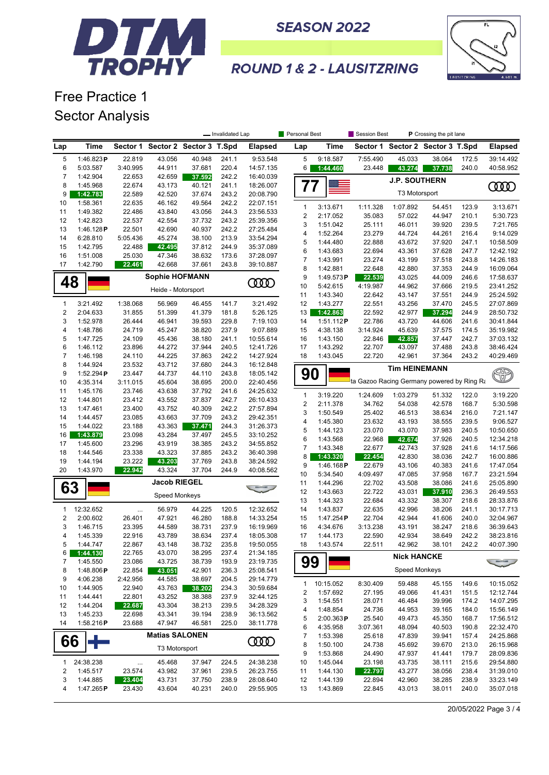



## **ROUND 1 & 2 - LAUSITZRING**

Free Practice 1 Sector Analysis

|                         |                      | - Invalidated Lap  |                                  |                  | <b>Personal Best</b> |                        | Session Best<br><b>P</b> Crossing the pit lane |                       |                                            |                      |                                  |                |                        |
|-------------------------|----------------------|--------------------|----------------------------------|------------------|----------------------|------------------------|------------------------------------------------|-----------------------|--------------------------------------------|----------------------|----------------------------------|----------------|------------------------|
| Lap                     | Time                 |                    | Sector 1 Sector 2 Sector 3 T.Spd |                  |                      | <b>Elapsed</b>         | Lap                                            | Time                  |                                            |                      | Sector 1 Sector 2 Sector 3 T.Spd |                | <b>Elapsed</b>         |
| 5                       | 1:46.823P            | 22.819             | 43.056                           | 40.948           | 241.1                | 9:53.548               | 5                                              | 9:18.587              | 7:55.490                                   | 45.033               | 38.064                           | 172.5          | 39:14.492              |
| 6                       | 5:03.587             | 3:40.995           | 44.911                           | 37.681           | 220.4                | 14:57.135              | 6                                              | 1:44.460              | 23.448                                     | 43.274               | 37.738                           | 240.0          | 40:58.952              |
| $\overline{7}$          | 1:42.904             | 22.653             | 42.659                           | 37.592           | 242.2                | 16:40.039              |                                                |                       |                                            | <b>J.P. SOUTHERN</b> |                                  |                |                        |
| 8                       | 1:45.968             | 22.674             | 43.173                           | 40.121           | 241.1                | 18:26.007              | 77                                             |                       |                                            |                      |                                  |                | ŒŒ                     |
| 9                       | 1:42.783             | 22.589             | 42.520                           | 37.674           | 243.2                | 20:08.790              |                                                |                       |                                            | T3 Motorsport        |                                  |                |                        |
| 10<br>11                | 1:58.361<br>1:49.382 | 22.635<br>22.486   | 46.162<br>43.840                 | 49.564<br>43.056 | 242.2<br>244.3       | 22:07.151<br>23:56.533 | 1                                              | 3:13.671              | 1:11.328                                   | 1:07.892             | 54.451                           | 123.9          | 3:13.671               |
| 12                      | 1:42.823             | 22.537             | 42.554                           | 37.732           | 243.2                | 25:39.356              | $\overline{\mathbf{c}}$                        | 2:17.052              | 35.083                                     | 57.022               | 44.947                           | 210.1          | 5:30.723               |
| 13                      | 1:46.128P            | 22.501             | 42.690                           | 40.937           | 242.2                | 27:25.484              | 3                                              | 1:51.042              | 25.111                                     | 46.011               | 39.920                           | 239.5          | 7:21.765               |
| 14                      | 6:28.810             | 5:05.436           | 45.274                           | 38.100           | 213.9                | 33:54.294              | 4                                              | 1:52.264              | 23.279                                     | 44.724               | 44.261                           | 216.4          | 9:14.029               |
| 15                      | 1:42.795             | 22.488             | 42.495                           | 37.812           | 244.9                | 35:37.089              | 5                                              | 1:44.480              | 22.888                                     | 43.672               | 37.920                           | 247.1          | 10:58.509              |
| 16                      | 1:51.008             | 25.030             | 47.346                           | 38.632           | 173.6                | 37:28.097              | 6                                              | 1:43.683              | 22.694                                     | 43.361               | 37.628                           | 247.7          | 12:42.192              |
| 17                      | 1:42.790             | 22.461             | 42.668                           | 37.661           | 243.8                | 39:10.887              | $\overline{\mathcal{I}}$<br>8                  | 1:43.991              | 23.274<br>22.648                           | 43.199               | 37.518<br>37.353                 | 243.8<br>244.9 | 14:26.183<br>16:09.064 |
|                         |                      |                    | <b>Sophie HOFMANN</b>            |                  |                      |                        | 9                                              | 1:42.881<br>1:49.573P | 22.539                                     | 42.880<br>43.025     | 44.009                           | 246.6          | 17:58.637              |
| 48                      |                      |                    |                                  |                  |                      | <b>COOD</b>            | 10                                             | 5:42.615              | 4:19.987                                   | 44.962               | 37.666                           | 219.5          | 23:41.252              |
|                         |                      |                    | Heide - Motorsport               |                  |                      |                        | 11                                             | 1:43.340              | 22.642                                     | 43.147               | 37.551                           | 244.9          | 25:24.592              |
| 1                       | 3:21.492             | 1:38.068           | 56.969                           | 46.455           | 141.7                | 3:21.492               | 12                                             | 1:43.277              | 22.551                                     | 43.256               | 37.470                           | 245.5          | 27:07.869              |
| $\mathbf 2$             | 2:04.633             | 31.855             | 51.399                           | 41.379           | 181.8                | 5:26.125               | 13                                             | 1:42.863              | 22.592                                     | 42.977               | 37.294                           | 244.9          | 28:50.732              |
| 3                       | 1:52.978             | 26.444             | 46.941                           | 39.593           | 229.8                | 7:19.103               | 14                                             | 1:51.112P             | 22.786                                     | 43.720               | 44.606                           | 241.6          | 30:41.844              |
| 4                       | 1:48.786             | 24.719             | 45.247                           | 38.820           | 237.9                | 9:07.889               | 15                                             | 4:38.138              | 3:14.924                                   | 45.639               | 37.575                           | 174.5          | 35:19.982              |
| 5                       | 1:47.725             | 24.109             | 45.436                           | 38.180           | 241.1                | 10:55.614              | 16                                             | 1:43.150              | 22.846                                     | 42.857               | 37.447                           | 242.7          | 37:03.132              |
| 6                       | 1:46.112             | 23.896             | 44.272                           | 37.944           | 240.5                | 12:41.726              | 17                                             | 1:43.292              | 22.707                                     | 43.097               | 37.488                           | 243.8          | 38:46.424              |
| $\overline{7}$          | 1:46.198             | 24.110             | 44.225                           | 37.863           | 242.2                | 14:27.924              | 18                                             | 1:43.045              | 22.720                                     | 42.961               | 37.364                           | 243.2          | 40:29.469              |
| 8                       | 1:44.924             | 23.532             | 43.712                           | 37.680           | 244.3                | 16:12.848              |                                                |                       |                                            | <b>Tim HEINEMANN</b> |                                  |                |                        |
| 9                       | 1:52.294P            | 23.447             | 44.737                           | 44.110           | 243.8                | 18:05.142              | 90                                             |                       | ta Gazoo Racing Germany powered by Ring Ra |                      |                                  |                | $\circled{r}$          |
| 10<br>11                | 4:35.314<br>1:45.176 | 3:11.015<br>23.746 | 45.604<br>43.638                 | 38.695<br>37.792 | 200.0<br>241.6       | 22:40.456<br>24:25.632 |                                                |                       |                                            |                      |                                  |                |                        |
| 12                      | 1:44.801             | 23.412             | 43.552                           | 37.837           | 242.7                | 26:10.433              | 1                                              | 3:19.220              | 1:24.609                                   | 1:03.279             | 51.332                           | 122.0          | 3:19.220               |
| 13                      | 1:47.461             | 23.400             | 43.752                           | 40.309           | 242.2                | 27:57.894              | $\overline{c}$                                 | 2:11.378              | 34.762                                     | 54.038               | 42.578                           | 168.7          | 5:30.598               |
| 14                      | 1:44.457             | 23.085             | 43.663                           | 37.709           | 243.2                | 29:42.351              | 3                                              | 1:50.549              | 25.402                                     | 46.513               | 38.634                           | 216.0          | 7:21.147               |
| 15                      | 1:44.022             | 23.188             | 43.363                           | 37.471           | 244.3                | 31:26.373              | 4                                              | 1:45.380              | 23.632                                     | 43.193               | 38.555                           | 239.5          | 9:06.527               |
| 16                      | 1:43.879             | 23.098             | 43.284                           | 37.497           | 245.5                | 33:10.252              | 5<br>6                                         | 1:44.123              | 23.070                                     | 43.070               | 37.983                           | 240.5          | 10:50.650              |
| 17                      | 1:45.600             | 23.296             | 43.919                           | 38.385           | 243.2                | 34:55.852              | $\overline{7}$                                 | 1:43.568<br>1:43.348  | 22.968<br>22.677                           | 42.674<br>42.743     | 37.926<br>37.928                 | 240.5<br>241.6 | 12:34.218<br>14:17.566 |
| 18                      | 1:44.546             | 23.338             | 43.323                           | 37.885           | 243.2                | 36:40.398              | 8                                              | 1:43.320              | 22.454                                     | 42.830               | 38.036                           | 242.7          | 16:00.886              |
| 19                      | 1:44.194             | 23.222             | 43.203                           | 37.769           | 243.8                | 38:24.592              | 9                                              | 1:46.168P             | 22.679                                     | 43.106               | 40.383                           | 241.6          | 17:47.054              |
| 20                      | 1:43.970             | 22.942             | 43.324                           | 37.704           | 244.9                | 40:08.562              | 10                                             | 5:34.540              | 4:09.497                                   | 47.085               | 37.958                           | 167.7          | 23:21.594              |
|                         |                      |                    | <b>Jacob RIEGEL</b>              |                  |                      |                        | 11                                             | 1:44.296              | 22.702                                     | 43.508               | 38.086                           | 241.6          | 25:05.890              |
| 63                      |                      |                    | Speed Monkeys                    |                  |                      |                        | 12                                             | 1:43.663              | 22.722                                     | 43.031               | 37.910                           | 236.3          | 26:49.553              |
|                         |                      |                    |                                  |                  |                      |                        | 13                                             | 1:44.323              | 22.684                                     | 43.332               | 38.307                           | 218.6          | 28:33.876              |
| $\mathbf{1}$            | 12:32.652            |                    | 56.979                           | 44.225           | 120.5                | 12:32.652              | 14                                             | 1:43.837              | 22.635                                     | 42.996               | 38.206                           | 241.1          | 30:17.713              |
| $\overline{\mathbf{c}}$ | 2:00.602             | 26.401             | 47.921                           | 46.280           | 188.8                | 14:33.254              | 15                                             | 1:47.254 $P$          | 22.704                                     | 42.944               | 41.606                           | 240.0          | 32:04.967              |
| 3                       | 1:46.715             | 23.395             | 44.589                           | 38.731           | 237.9                | 16:19.969              | 16                                             | 4:34.676              | 3:13.238                                   | 43.191               | 38.247                           | 218.6          | 36:39.643              |
| 4                       | 1:45.339             | 22.916             | 43.789                           | 38.634           | 237.4                | 18:05.308              | 17                                             | 1:44.173              | 22.590                                     | 42.934               | 38.649                           | 242.2          | 38:23.816              |
| 5<br>6                  | 1:44.747             | 22.867             | 43.148                           | 38.732           | 235.8<br>237.4       | 19:50.055              | 18                                             | 1:43.574              | 22.511                                     | 42.962               | 38.101                           | 242.2          | 40:07.390              |
| 7                       | 1:44.130<br>1:45.550 | 22.765<br>23.086   | 43.070<br>43.725                 | 38.295<br>38.739 | 193.9                | 21:34.185<br>23:19.735 | 99                                             |                       |                                            | <b>Nick HANCKE</b>   |                                  |                |                        |
| 8                       | 1:48.806 $P$         | 22.854             | 43.051                           | 42.901           | 236.3                | 25:08.541              |                                                |                       |                                            | Speed Monkeys        |                                  |                |                        |
| 9                       | 4:06.238             | 2:42.956           | 44.585                           | 38.697           | 204.5                | 29:14.779              |                                                |                       |                                            |                      |                                  |                |                        |
| 10                      | 1:44.905             | 22.940             | 43.763                           | 38.202           | 234.3                | 30:59.684              | 1                                              | 10:15.052             | 8:30.409                                   | 59.488               | 45.155                           | 149.6          | 10:15.052              |
| 11                      | 1:44.441             | 22.801             | 43.252                           | 38.388           | 237.9                | 32:44.125              | 2                                              | 1:57.692              | 27.195                                     | 49.066               | 41.431                           | 151.5          | 12:12.744              |
| 12                      | 1:44.204             | 22.687             | 43.304                           | 38.213           | 239.5                | 34:28.329              | 3                                              | 1:54.551              | 28.071                                     | 46.484               | 39.996                           | 174.2          | 14:07.295              |
| 13                      | 1:45.233             | 22.698             | 43.341                           | 39.194           | 238.9                | 36:13.562              | 4                                              | 1:48.854<br>2:00.363P | 24.736                                     | 44.953               | 39.165                           | 184.0<br>168.7 | 15:56.149              |
| 14                      | 1:58.216P            | 23.688             | 47.947                           | 46.581           | 225.0                | 38:11.778              | 5<br>6                                         | 4:35.958              | 25.540<br>3:07.361                         | 49.473<br>48.094     | 45.350<br>40.503                 | 190.8          | 17:56.512<br>22:32.470 |
|                         |                      |                    | <b>Matias SALONEN</b>            |                  |                      |                        | 7                                              | 1:53.398              | 25.618                                     | 47.839               | 39.941                           | 157.4          | 24:25.868              |
| 66                      |                      |                    |                                  |                  |                      | <b>COOD</b>            | 8                                              | 1:50.100              | 24.738                                     | 45.692               | 39.670                           | 213.0          | 26:15.968              |
|                         |                      |                    | T3 Motorsport                    |                  |                      |                        | 9                                              | 1:53.868              | 24.490                                     | 47.937               | 41.441                           | 179.7          | 28:09.836              |
| 1                       | 24:38.238            |                    | 45.468                           | 37.947           | 224.5                | 24:38.238              | 10                                             | 1:45.044              | 23.198                                     | 43.735               | 38.111                           | 215.6          | 29:54.880              |
| $\overline{\mathbf{c}}$ | 1:45.517             | 23.574             | 43.982                           | 37.961           | 239.5                | 26:23.755              | 11                                             | 1:44.130              | 22.797                                     | 43.277               | 38.056                           | 238.4          | 31:39.010              |
| 3                       | 1:44.885             | 23.404             | 43.731                           | 37.750           | 238.9                | 28:08.640              | 12                                             | 1:44.139              | 22.894                                     | 42.960               | 38.285                           | 238.9          | 33:23.149              |
| 4                       | 1:47.265P            | 23.430             | 43.604                           | 40.231           | 240.0                | 29:55.905              | 13                                             | 1:43.869              | 22.845                                     | 43.013               | 38.011                           | 240.0          | 35:07.018              |

20/05/2022 Page 3 / 4